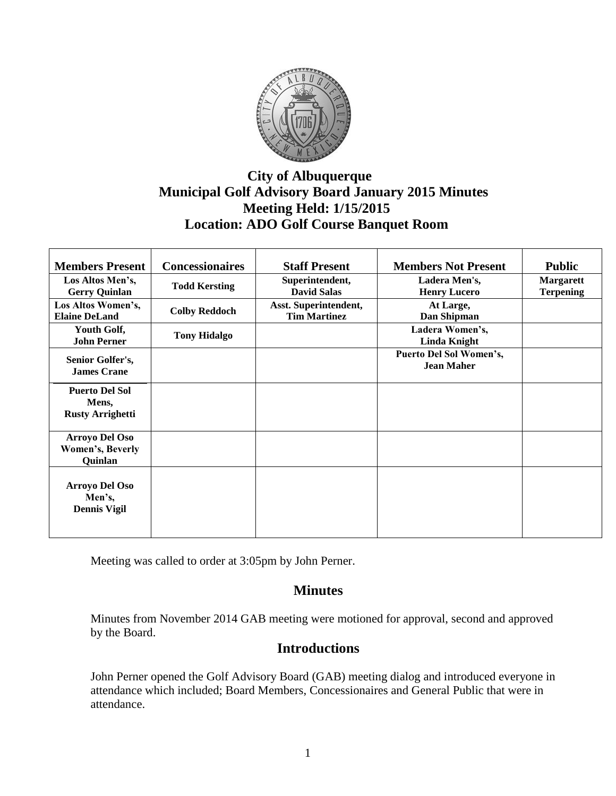

# **City of Albuquerque Municipal Golf Advisory Board January 2015 Minutes Meeting Held: 1/15/2015 Location: ADO Golf Course Banquet Room**

| <b>Members Present</b>  | <b>Concessionaires</b> | <b>Staff Present</b>  | <b>Members Not Present</b> | <b>Public</b>    |
|-------------------------|------------------------|-----------------------|----------------------------|------------------|
| Los Altos Men's,        | <b>Todd Kersting</b>   | Superintendent,       | Ladera Men's,              | <b>Margarett</b> |
| <b>Gerry Quinlan</b>    |                        | <b>David Salas</b>    | <b>Henry Lucero</b>        | <b>Terpening</b> |
| Los Altos Women's,      | <b>Colby Reddoch</b>   | Asst. Superintendent, | At Large,                  |                  |
| <b>Elaine DeLand</b>    |                        | <b>Tim Martinez</b>   | Dan Shipman                |                  |
| Youth Golf,             | <b>Tony Hidalgo</b>    |                       | Ladera Women's,            |                  |
| <b>John Perner</b>      |                        |                       | <b>Linda Knight</b>        |                  |
| Senior Golfer's,        |                        |                       | Puerto Del Sol Women's,    |                  |
| <b>James Crane</b>      |                        |                       | <b>Jean Maher</b>          |                  |
|                         |                        |                       |                            |                  |
| <b>Puerto Del Sol</b>   |                        |                       |                            |                  |
| Mens,                   |                        |                       |                            |                  |
| <b>Rusty Arrighetti</b> |                        |                       |                            |                  |
| <b>Arroyo Del Oso</b>   |                        |                       |                            |                  |
| Women's, Beverly        |                        |                       |                            |                  |
| Quinlan                 |                        |                       |                            |                  |
|                         |                        |                       |                            |                  |
| <b>Arroyo Del Oso</b>   |                        |                       |                            |                  |
| Men's,                  |                        |                       |                            |                  |
| <b>Dennis Vigil</b>     |                        |                       |                            |                  |
|                         |                        |                       |                            |                  |
|                         |                        |                       |                            |                  |

Meeting was called to order at 3:05pm by John Perner.

## **Minutes**

Minutes from November 2014 GAB meeting were motioned for approval, second and approved by the Board.

## **Introductions**

John Perner opened the Golf Advisory Board (GAB) meeting dialog and introduced everyone in attendance which included; Board Members, Concessionaires and General Public that were in attendance.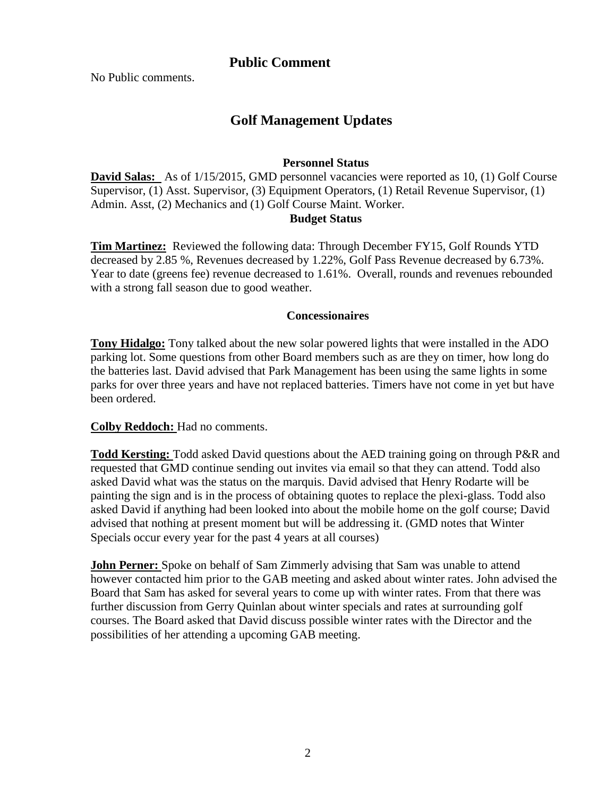## **Public Comment**

No Public comments.

# **Golf Management Updates**

#### **Personnel Status**

**David Salas:** As of  $1/15/2015$ , GMD personnel vacancies were reported as 10, (1) Golf Course Supervisor, (1) Asst. Supervisor, (3) Equipment Operators, (1) Retail Revenue Supervisor, (1) Admin. Asst, (2) Mechanics and (1) Golf Course Maint. Worker.  **Budget Status**

**Tim Martinez:** Reviewed the following data: Through December FY15, Golf Rounds YTD decreased by 2.85 %, Revenues decreased by 1.22%, Golf Pass Revenue decreased by 6.73%. Year to date (greens fee) revenue decreased to 1.61%. Overall, rounds and revenues rebounded with a strong fall season due to good weather.

#### **Concessionaires**

**Tony Hidalgo:** Tony talked about the new solar powered lights that were installed in the ADO parking lot. Some questions from other Board members such as are they on timer, how long do the batteries last. David advised that Park Management has been using the same lights in some parks for over three years and have not replaced batteries. Timers have not come in yet but have been ordered.

**Colby Reddoch:** Had no comments.

**Todd Kersting:** Todd asked David questions about the AED training going on through P&R and requested that GMD continue sending out invites via email so that they can attend. Todd also asked David what was the status on the marquis. David advised that Henry Rodarte will be painting the sign and is in the process of obtaining quotes to replace the plexi-glass. Todd also asked David if anything had been looked into about the mobile home on the golf course; David advised that nothing at present moment but will be addressing it. (GMD notes that Winter Specials occur every year for the past 4 years at all courses)

**John Perner:** Spoke on behalf of Sam Zimmerly advising that Sam was unable to attend however contacted him prior to the GAB meeting and asked about winter rates. John advised the Board that Sam has asked for several years to come up with winter rates. From that there was further discussion from Gerry Quinlan about winter specials and rates at surrounding golf courses. The Board asked that David discuss possible winter rates with the Director and the possibilities of her attending a upcoming GAB meeting.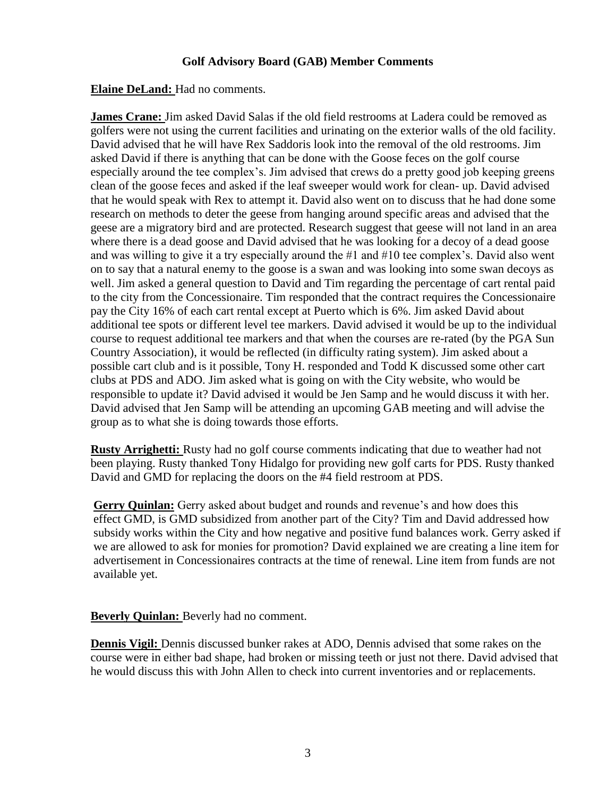### **Golf Advisory Board (GAB) Member Comments**

**Elaine DeLand:** Had no comments.

**James Crane:** Jim asked David Salas if the old field restrooms at Ladera could be removed as golfers were not using the current facilities and urinating on the exterior walls of the old facility. David advised that he will have Rex Saddoris look into the removal of the old restrooms. Jim asked David if there is anything that can be done with the Goose feces on the golf course especially around the tee complex's. Jim advised that crews do a pretty good job keeping greens clean of the goose feces and asked if the leaf sweeper would work for clean- up. David advised that he would speak with Rex to attempt it. David also went on to discuss that he had done some research on methods to deter the geese from hanging around specific areas and advised that the geese are a migratory bird and are protected. Research suggest that geese will not land in an area where there is a dead goose and David advised that he was looking for a decoy of a dead goose and was willing to give it a try especially around the #1 and #10 tee complex's. David also went on to say that a natural enemy to the goose is a swan and was looking into some swan decoys as well. Jim asked a general question to David and Tim regarding the percentage of cart rental paid to the city from the Concessionaire. Tim responded that the contract requires the Concessionaire pay the City 16% of each cart rental except at Puerto which is 6%. Jim asked David about additional tee spots or different level tee markers. David advised it would be up to the individual course to request additional tee markers and that when the courses are re-rated (by the PGA Sun Country Association), it would be reflected (in difficulty rating system). Jim asked about a possible cart club and is it possible, Tony H. responded and Todd K discussed some other cart clubs at PDS and ADO. Jim asked what is going on with the City website, who would be responsible to update it? David advised it would be Jen Samp and he would discuss it with her. David advised that Jen Samp will be attending an upcoming GAB meeting and will advise the group as to what she is doing towards those efforts.

**Rusty Arrighetti:** Rusty had no golf course comments indicating that due to weather had not been playing. Rusty thanked Tony Hidalgo for providing new golf carts for PDS. Rusty thanked David and GMD for replacing the doors on the #4 field restroom at PDS.

 **Gerry Quinlan:** Gerry asked about budget and rounds and revenue's and how does this effect GMD, is GMD subsidized from another part of the City? Tim and David addressed how subsidy works within the City and how negative and positive fund balances work. Gerry asked if we are allowed to ask for monies for promotion? David explained we are creating a line item for advertisement in Concessionaires contracts at the time of renewal. Line item from funds are not available yet.

**Beverly Quinlan:** Beverly had no comment.

**Dennis Vigil:** Dennis discussed bunker rakes at ADO, Dennis advised that some rakes on the course were in either bad shape, had broken or missing teeth or just not there. David advised that he would discuss this with John Allen to check into current inventories and or replacements.